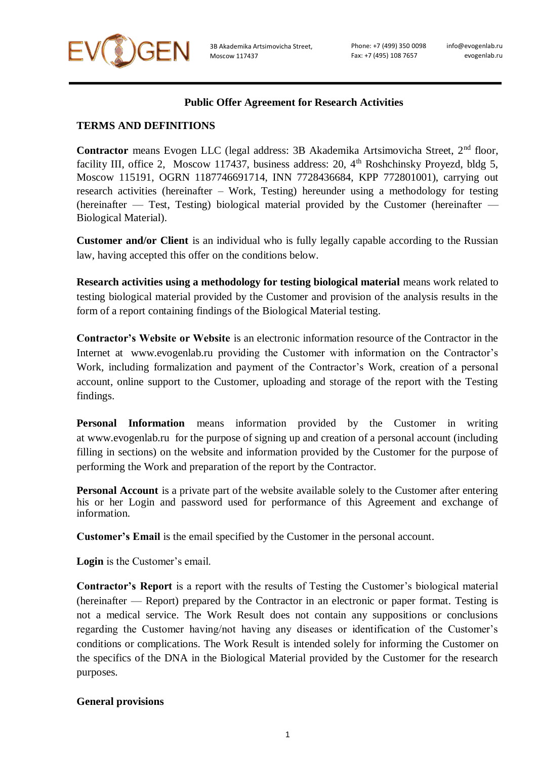

Phone: +7 (499) 350 0098 Fax: +7 (495) 108 7657

## **Public Offer Agreement for Research Activities**

## **TERMS AND DEFINITIONS**

Contractor means Evogen LLC (legal address: 3B Akademika Artsimovicha Street, 2<sup>nd</sup> floor, facility III, office 2, Moscow 117437, business address: 20,  $4<sup>th</sup>$  Roshchinsky Proyezd, bldg 5, Moscow 115191, OGRN 1187746691714, INN 7728436684, KPP 772801001), carrying out research activities (hereinafter – Work, Testing) hereunder using a methodology for testing (hereinafter — Test, Testing) biological material provided by the Customer (hereinafter — Biological Material).

**Customer and/or Client** is an individual who is fully legally capable according to the Russian law, having accepted this offer on the conditions below.

**Research activities using a methodology for testing biological material** means work related to testing biological material provided by the Customer and provision of the analysis results in the form of a report containing findings of the Biological Material testing.

**Contractor's Website or Website** is an electronic information resource of the Contractor in the Internet at www.evogenlab.ru providing the Customer with information on the Contractor's Work, including formalization and payment of the Contractor's Work, creation of a personal account, online support to the Customer, uploading and storage of the report with the Testing findings.

**Personal Information** means information provided by the Customer in writing at www.evogenlab.r[u](https://mygenetics.ru/) for the purpose of signing up and creation of a personal account (including filling in sections) on the website and information provided by the Customer for the purpose of performing the Work and preparation of the report by the Contractor.

**Personal Account** is a private part of the website available solely to the Customer after entering his or her Login and password used for performance of this Agreement and exchange of information.

**Customer's Email** is the email specified by the Customer in the personal account.

**Login** is the Customer's email.

**Contractor's Report** is a report with the results of Testing the Customer's biological material (hereinafter — Report) prepared by the Contractor in an electronic or paper format. Testing is not a medical service. The Work Result does not contain any suppositions or conclusions regarding the Customer having/not having any diseases or identification of the Customer's conditions or complications. The Work Result is intended solely for informing the Customer on the specifics of the DNA in the Biological Material provided by the Customer for the research purposes.

#### **General provisions**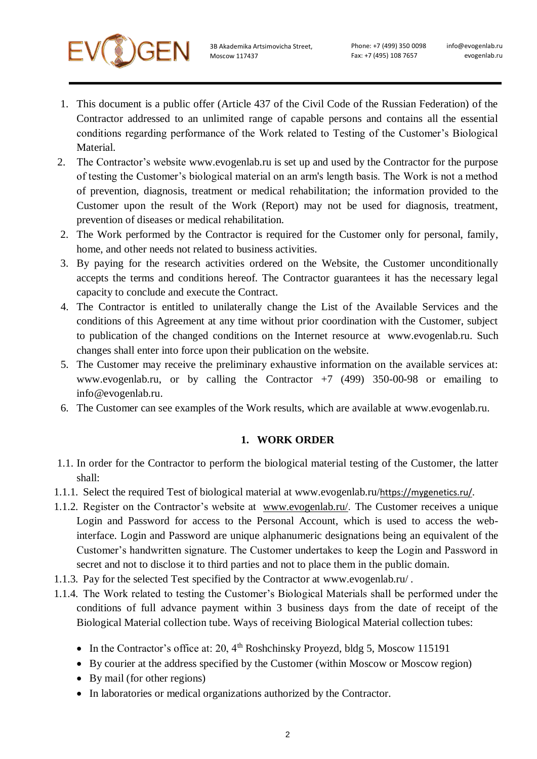

- 1. This document is a public offer (Article 437 of the Civil Code of the Russian Federation) of the Contractor addressed to an unlimited range of capable persons and contains all the essential conditions regarding performance of the Work related to Testing of the Customer's Biological Material.
- 2. The Contractor's website www.evogenlab.r[u](https://mygenetics.ru/) is set up and used by the Contractor for the purpose of testing the Customer's biological material on an arm's length basis. The Work is not a method of prevention, diagnosis, treatment or medical rehabilitation; the information provided to the Customer upon the result of the Work (Report) may not be used for diagnosis, treatment, prevention of diseases or medical rehabilitation.
- 2. The Work performed by the Contractor is required for the Customer only for personal, family, home, and other needs not related to business activities.
- 3. By paying for the research activities ordered on the Website, the Customer unconditionally accepts the terms and conditions hereof. The Contractor guarantees it has the necessary legal capacity to conclude and execute the Contract.
- 4. The Contractor is entitled to unilaterally change the List of the Available Services and the conditions of this Agreement at any time without prior coordination with the Customer, subject to publication of the changed conditions on the Internet resource at www.evogenlab.ru. Such changes shall enter into force upon their publication on the website.
- 5. The Customer may receive the preliminary exhaustive information on the available services at: www.evogenlab.ru, or by calling the Contractor  $+7$  (499) 350-00-98 or emailing to [info@evogenlab.ru.](mailto:info@evogenlab.ru)
- 6. The Customer can see examples of the Work results, which are available at www.evogenlab.ru.

#### **1. WORK ORDER**

- 1.1. In order for the Contractor to perform the biological material testing of the Customer, the latter shall:
- 1.1.1. Select the required Test of biological material at www.evogenlab.ru/<https://mygenetics.ru/>.
- 1.1.2. Register on the Contractor's website at [www.evogenlab.ru/](http://www.evogenlab.ru/). The Customer receives a unique Login and Password for access to the Personal Account, which is used to access the webinterface. Login and Password are unique alphanumeric designations being an equivalent of the Customer's handwritten signature. The Customer undertakes to keep the Login and Password in secret and not to disclose it to third parties and not to place them in the public domain.
- 1.1.3. Pay for the selected Test specified by the Contractor at www.evogenlab.ru/ [.](https://mygenetics.ru/)
- 1.1.4. The Work related to testing the Customer's Biological Materials shall be performed under the conditions of full advance payment within 3 business days from the date of receipt of the Biological Material collection tube. Ways of receiving Biological Material collection tubes:
	- In the Contractor's office at: 20,  $4<sup>th</sup>$  Roshchinsky Proyezd, bldg 5, Moscow 115191
	- By courier at the address specified by the Customer (within Moscow or Moscow region)
	- By mail (for other regions)
	- In laboratories or medical organizations authorized by the Contractor.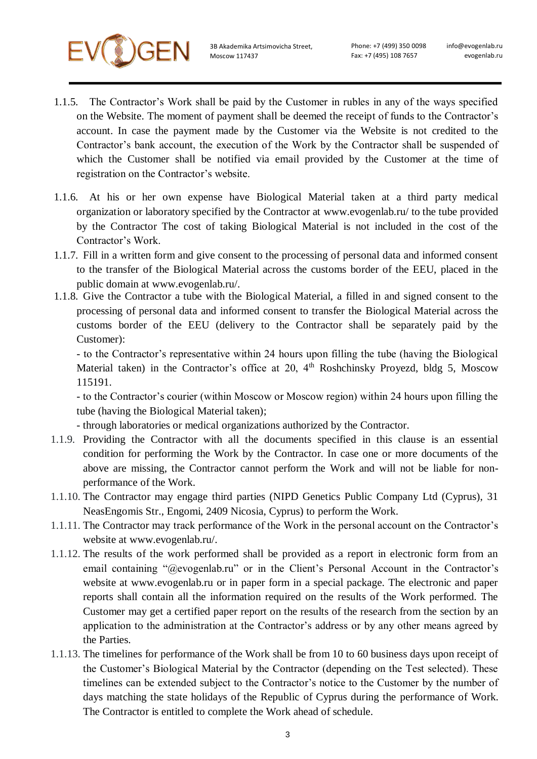

Phone: +7 (499) 350 0098 Fax: +7 (495) 108 7657

info@evogenlab.ru evogenlab.ru

- 1.1.5. The Contractor's Work shall be paid by the Customer in rubles in any of the ways specified on the Website. The moment of payment shall be deemed the receipt of funds to the Contractor's account. In case the payment made by the Customer via the Website is not credited to the Contractor's bank account, the execution of the Work by the Contractor shall be suspended of which the Customer shall be notified via email provided by the Customer at the time of registration on the Contractor's website.
- 1.1.6. At his or her own expense have Biological Material taken at a third party medical organization or laboratory specified by the Contractor at www.evogenlab.ru/ to the tube provided by the Contractor The cost of taking Biological Material is not included in the cost of the Contractor's Work.
- 1.1.7. Fill in a written form and give consent to the processing of personal data and informed consent to the transfer of the Biological Material across the customs border of the EEU, placed in the public domain at www.evogenlab.ru/.
- 1.1.8. Give the Contractor a tube with the Biological Material, a filled in and signed consent to the processing of personal data and informed consent to transfer the Biological Material across the customs border of the EEU (delivery to the Contractor shall be separately paid by the Customer):

- to the Contractor's representative within 24 hours upon filling the tube (having the Biological Material taken) in the Contractor's office at 20,  $4<sup>th</sup>$  Roshchinsky Proyezd, bldg 5, Moscow 115191.

- to the Contractor's courier (within Moscow or Moscow region) within 24 hours upon filling the tube (having the Biological Material taken);

- through laboratories or medical organizations authorized by the Contractor.

- 1.1.9. Providing the Contractor with all the documents specified in this clause is an essential condition for performing the Work by the Contractor. In case one or more documents of the above are missing, the Contractor cannot perform the Work and will not be liable for nonperformance of the Work.
- 1.1.10. The Contractor may engage third parties (NIPD Genetics Public Company Ltd (Cyprus), 31 NeasEngomis Str., Engomi, 2409 Nicosia, Cyprus) to perform the Work.
- 1.1.11. The Contractor may track performance of the Work in the personal account on the Contractor's website at www.evogenlab.ru/.
- 1.1.12. The results of the work performed shall be provided as a report in electronic form from an email containing "@evogenlab.ru" or in the Client's Personal Account in the Contractor's website at www.evogenlab.ru or in paper form in a special package. The electronic and paper reports shall contain all the information required on the results of the Work performed. The Customer may get a certified paper report on the results of the research from the section by an application to the administration at the Contractor's address or by any other means agreed by the Parties.
- 1.1.13. The timelines for performance of the Work shall be from 10 to 60 business days upon receipt of the Customer's Biological Material by the Contractor (depending on the Test selected). These timelines can be extended subject to the Contractor's notice to the Customer by the number of days matching the state holidays of the Republic of Cyprus during the performance of Work. The Contractor is entitled to complete the Work ahead of schedule.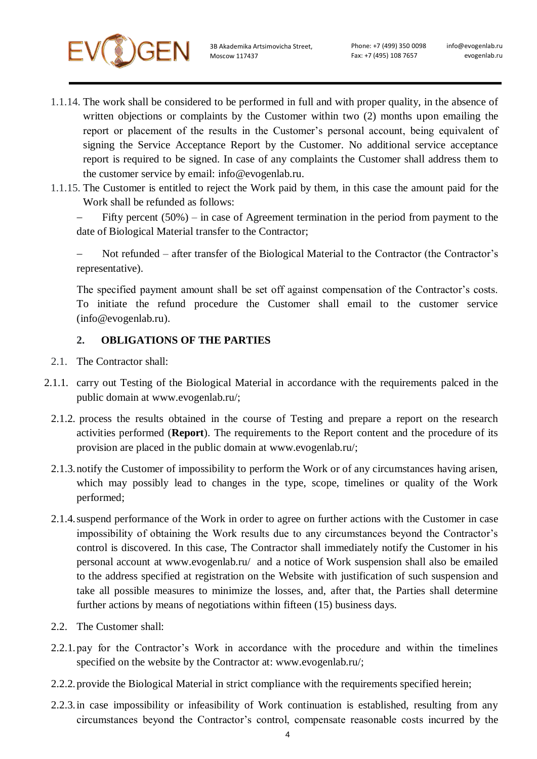- 1.1.14. The work shall be considered to be performed in full and with proper quality, in the absence of written objections or complaints by the Customer within two (2) months upon emailing the report or placement of the results in the Customer's personal account, being equivalent of signing the Service Acceptance Report by the Customer. No additional service acceptance report is required to be signed. In case of any complaints the Customer shall address them to the customer service by email: [info@evogenlab.ru.](mailto:info@evogenlab.ru)
- 1.1.15. The Customer is entitled to reject the Work paid by them, in this case the amount paid for the Work shall be refunded as follows:

 Fifty percent (50%) – in case of Agreement termination in the period from payment to the date of Biological Material transfer to the Contractor;

 Not refunded – after transfer of the Biological Material to the Contractor (the Contractor's representative).

The specified payment amount shall be set off against compensation of the Contractor's costs. To initiate the refund procedure the Customer shall email to the customer service [\(info@evogenlab.ru](mailto:info@evogenlab.ru)[\).](mailto:help@mygenetics.ru)

### **2. OBLIGATIONS OF THE PARTIES**

- 2.1. The Contractor shall:
- 2.1.1. carry out Testing of the Biological Material in accordance with the requirements palced in the public domain at www.evogenlab.ru/;
	- 2.1.2. process the results obtained in the course of Testing and prepare a report on the research activities performed (**Report**). The requirements to the Report content and the procedure of its provision are placed in the public domain at www.evogenlab.ru/;
	- 2.1.3.notify the Customer of impossibility to perform the Work or of any circumstances having arisen, which may possibly lead to changes in the type, scope, timelines or quality of the Work performed;
	- 2.1.4.suspend performance of the Work in order to agree on further actions with the Customer in case impossibility of obtaining the Work results due to any circumstances beyond the Contractor's control is discovered. In this case, The Contractor shall immediately notify the Customer in his personal account at www.evogenlab.ru/ and a notice of Work suspension shall also be emailed to the address specified at registration on the Website with justification of such suspension and take all possible measures to minimize the losses, and, after that, the Parties shall determine further actions by means of negotiations within fifteen (15) business days.
	- 2.2. The Customer shall:
	- 2.2.1.pay for the Contractor's Work in accordance with the procedure and within the timelines specified on the website by the Contractor at: www.evogenlab.ru/;
	- 2.2.2.provide the Biological Material in strict compliance with the requirements specified herein;
	- 2.2.3.in case impossibility or infeasibility of Work continuation is established, resulting from any circumstances beyond the Contractor's control, compensate reasonable costs incurred by the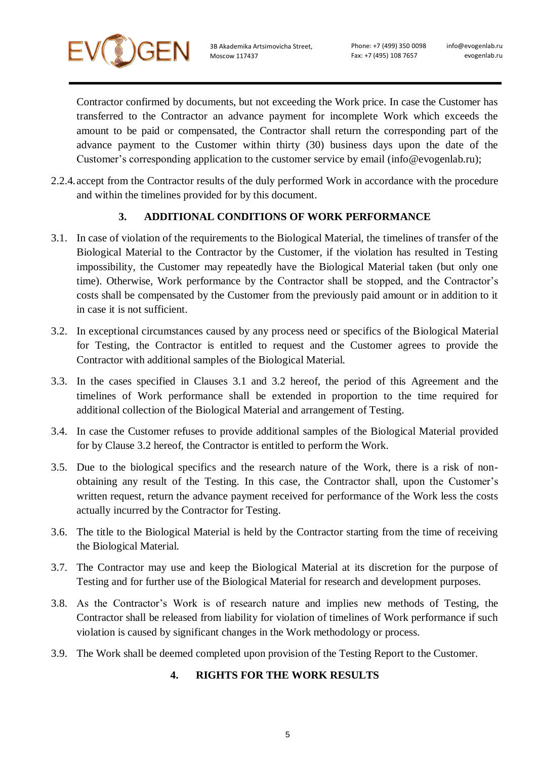

Phone: +7 (499) 350 0098 Fax: +7 (495) 108 7657

Contractor confirmed by documents, but not exceeding the Work price. In case the Customer has transferred to the Contractor an advance payment for incomplete Work which exceeds the amount to be paid or compensated, the Contractor shall return the corresponding part of the advance payment to the Customer within thirty (30) business days upon the date of the Customer's corresponding application to the customer service by email [\(info@evogenlab.ru\);](mailto:info@evogenlab.ru)

2.2.4. accept from the Contractor results of the duly performed Work in accordance with the procedure and within the timelines provided for by this document.

### **3. ADDITIONAL CONDITIONS OF WORK PERFORMANCE**

- 3.1. In case of violation of the requirements to the Biological Material, the timelines of transfer of the Biological Material to the Contractor by the Customer, if the violation has resulted in Testing impossibility, the Customer may repeatedly have the Biological Material taken (but only one time). Otherwise, Work performance by the Contractor shall be stopped, and the Contractor's costs shall be compensated by the Customer from the previously paid amount or in addition to it in case it is not sufficient.
- 3.2. In exceptional circumstances caused by any process need or specifics of the Biological Material for Testing, the Contractor is entitled to request and the Customer agrees to provide the Contractor with additional samples of the Biological Material.
- 3.3. In the cases specified in Clauses 3.1 and 3.2 hereof, the period of this Agreement and the timelines of Work performance shall be extended in proportion to the time required for additional collection of the Biological Material and arrangement of Testing.
- 3.4. In case the Customer refuses to provide additional samples of the Biological Material provided for by Clause 3.2 hereof, the Contractor is entitled to perform the Work.
- 3.5. Due to the biological specifics and the research nature of the Work, there is a risk of nonobtaining any result of the Testing. In this case, the Contractor shall, upon the Customer's written request, return the advance payment received for performance of the Work less the costs actually incurred by the Contractor for Testing.
- 3.6. The title to the Biological Material is held by the Contractor starting from the time of receiving the Biological Material.
- 3.7. The Contractor may use and keep the Biological Material at its discretion for the purpose of Testing and for further use of the Biological Material for research and development purposes.
- 3.8. As the Contractor's Work is of research nature and implies new methods of Testing, the Contractor shall be released from liability for violation of timelines of Work performance if such violation is caused by significant changes in the Work methodology or process.
- 3.9. The Work shall be deemed completed upon provision of the Testing Report to the Customer.

#### **4. RIGHTS FOR THE WORK RESULTS**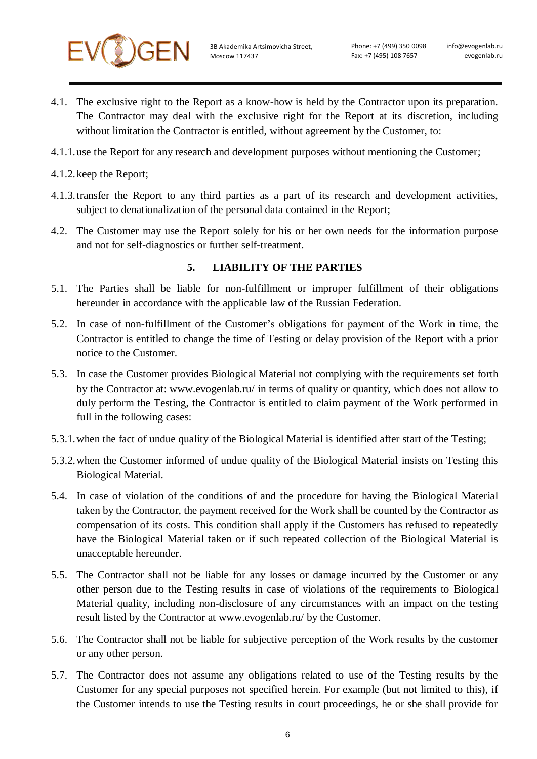

- 4.1. The exclusive right to the Report as a know-how is held by the Contractor upon its preparation. The Contractor may deal with the exclusive right for the Report at its discretion, including without limitation the Contractor is entitled, without agreement by the Customer, to:
- 4.1.1.use the Report for any research and development purposes without mentioning the Customer;
- 4.1.2.keep the Report;
- 4.1.3.transfer the Report to any third parties as a part of its research and development activities, subject to denationalization of the personal data contained in the Report;
- 4.2. The Customer may use the Report solely for his or her own needs for the information purpose and not for self-diagnostics or further self-treatment.

#### **5. LIABILITY OF THE PARTIES**

- 5.1. The Parties shall be liable for non-fulfillment or improper fulfillment of their obligations hereunder in accordance with the applicable law of the Russian Federation.
- 5.2. In case of non-fulfillment of the Customer's obligations for payment of the Work in time, the Contractor is entitled to change the time of Testing or delay provision of the Report with a prior notice to the Customer.
- 5.3. In case the Customer provides Biological Material not complying with the requirements set forth by the Contractor at: www.evogenlab.ru/ in terms of quality or quantity, which does not allow to duly perform the Testing, the Contractor is entitled to claim payment of the Work performed in full in the following cases:
- 5.3.1.when the fact of undue quality of the Biological Material is identified after start of the Testing;
- 5.3.2.when the Customer informed of undue quality of the Biological Material insists on Testing this Biological Material.
- 5.4. In case of violation of the conditions of and the procedure for having the Biological Material taken by the Contractor, the payment received for the Work shall be counted by the Contractor as compensation of its costs. This condition shall apply if the Customers has refused to repeatedly have the Biological Material taken or if such repeated collection of the Biological Material is unacceptable hereunder.
- 5.5. The Contractor shall not be liable for any losses or damage incurred by the Customer or any other person due to the Testing results in case of violations of the requirements to Biological Material quality, including non-disclosure of any circumstances with an impact on the testing result listed by the Contractor at www.evogenlab.ru/ by the Customer.
- 5.6. The Contractor shall not be liable for subjective perception of the Work results by the customer or any other person.
- 5.7. The Contractor does not assume any obligations related to use of the Testing results by the Customer for any special purposes not specified herein. For example (but not limited to this), if the Customer intends to use the Testing results in court proceedings, he or she shall provide for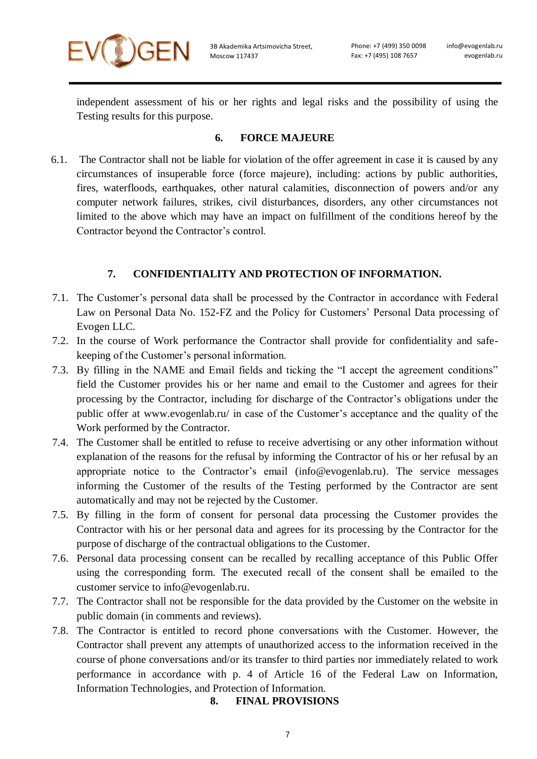

independent assessment of his or her rights and legal risks and the possibility of using the Testing results for this purpose.

# **6. FORCE MAJEURE**

6.1. The Contractor shall not be liable for violation of the offer agreement in case it is caused by any circumstances of insuperable force (force majeure), including: actions by public authorities, fires, waterfloods, earthquakes, other natural calamities, disconnection of powers and/or any computer network failures, strikes, civil disturbances, disorders, any other circumstances not limited to the above which may have an impact on fulfillment of the conditions hereof by the Contractor beyond the Contractor's control.

## **7. CONFIDENTIALITY AND PROTECTION OF INFORMATION.**

- 7.1. The Customer's personal data shall be processed by the Contractor in accordance with Federal Law on Personal Data No. 152-FZ and [the Policy for Customers' Personal Data processing of](https://mygenetics.ru/privac%D1%83/)  Evogen [LLC.](https://mygenetics.ru/)
- 7.2. In the course of Work performance the Contractor shall provide for confidentiality and safekeeping of the Customer's personal information.
- 7.3. By filling in the NAME and Email fields and ticking the "I accept the agreement conditions" field the Customer provides his or her name and email to the Customer and agrees for their processing by the Contractor, including for discharge of the Contractor's obligations under the public offer at www.evogenlab.ru/ in case of the Customer's acceptance and the quality of the Work performed by the Contractor.
- 7.4. The Customer shall be entitled to refuse to receive advertising or any other information without explanation of the reasons for the refusal by informing the Contractor of his or her refusal by an appropriate notice to the Contractor's email [\(info@evogenlab.ru\).](mailto:info@evogenlab.ru) The service messages informing the Customer of the results of the Testing performed by the Contractor are sent automatically and may not be rejected by the Customer.
- 7.5. By filling in the form of consent for personal data processing the Customer provides the Contractor with his or her personal data and agrees for its processing by the Contractor for the purpose of discharge of the contractual obligations to the Customer.
- 7.6. Personal data processing consent can be recalled by recalling acceptance of this Public Offer using the corresponding form. The executed recall of the consent shall be emailed to the customer service to [info@evogenlab.ru.](mailto:info@evogenlab.ru)
- 7.7. The Contractor shall not be responsible for the data provided by the Customer on the website in public domain (in comments and reviews).
- 7.8. The Contractor is entitled to record phone conversations with the Customer. However, the Contractor shall prevent any attempts of unauthorized access to the information received in the course of phone conversations and/or its transfer to third parties nor immediately related to work performance in accordance with p. 4 of Article 16 of the Federal Law on Information, Information Technologies, and Protection of Information.

## **8. FINAL PROVISIONS**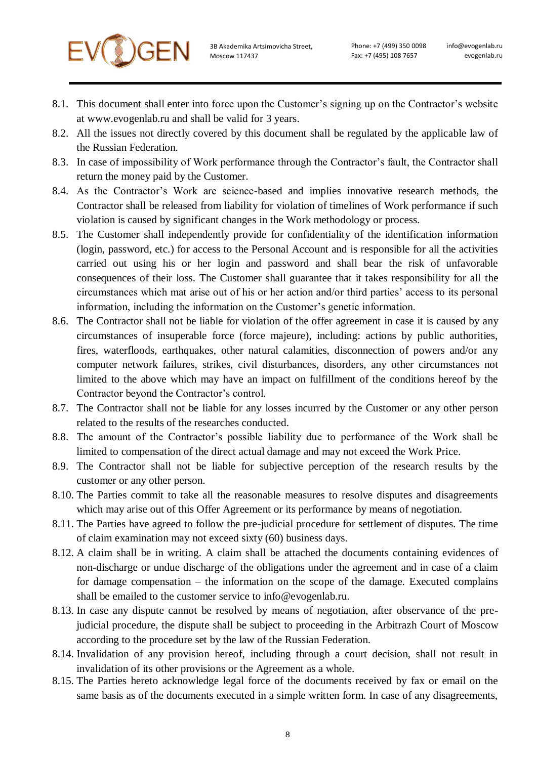

- 8.1. This document shall enter into force upon the Customer's signing up on the Contractor's website at www.evogenlab.ru and shall be valid for 3 years.
- 8.2. All the issues not directly covered by this document shall be regulated by the applicable law of the Russian Federation.
- 8.3. In case of impossibility of Work performance through the Contractor's fault, the Contractor shall return the money paid by the Customer.
- 8.4. As the Contractor's Work are science-based and implies innovative research methods, the Contractor shall be released from liability for violation of timelines of Work performance if such violation is caused by significant changes in the Work methodology or process.
- 8.5. The Customer shall independently provide for confidentiality of the identification information (login, password, etc.) for access to the Personal Account and is responsible for all the activities carried out using his or her login and password and shall bear the risk of unfavorable consequences of their loss. The Customer shall guarantee that it takes responsibility for all the circumstances which mat arise out of his or her action and/or third parties' access to its personal information, including the information on the Customer's genetic information.
- 8.6. The Contractor shall not be liable for violation of the offer agreement in case it is caused by any circumstances of insuperable force (force majeure), including: actions by public authorities, fires, waterfloods, earthquakes, other natural calamities, disconnection of powers and/or any computer network failures, strikes, civil disturbances, disorders, any other circumstances not limited to the above which may have an impact on fulfillment of the conditions hereof by the Contractor beyond the Contractor's control.
- 8.7. The Contractor shall not be liable for any losses incurred by the Customer or any other person related to the results of the researches conducted.
- 8.8. The amount of the Contractor's possible liability due to performance of the Work shall be limited to compensation of the direct actual damage and may not exceed the Work Price.
- 8.9. The Contractor shall not be liable for subjective perception of the research results by the customer or any other person.
- 8.10. The Parties commit to take all the reasonable measures to resolve disputes and disagreements which may arise out of this Offer Agreement or its performance by means of negotiation.
- 8.11. The Parties have agreed to follow the pre-judicial procedure for settlement of disputes. The time of claim examination may not exceed sixty (60) business days.
- 8.12. A claim shall be in writing. A claim shall be attached the documents containing evidences of non-discharge or undue discharge of the obligations under the agreement and in case of a claim for damage compensation – the information on the scope of the damage. Executed complains shall be emailed to the customer service to [info@evogenlab.ru.](mailto:info@evogenlab.ru)
- 8.13. In case any dispute cannot be resolved by means of negotiation, after observance of the prejudicial procedure, the dispute shall be subject to proceeding in the Arbitrazh Court of Moscow according to the procedure set by the law of the Russian Federation.
- 8.14. Invalidation of any provision hereof, including through a court decision, shall not result in invalidation of its other provisions or the Agreement as a whole.
- 8.15. The Parties hereto acknowledge legal force of the documents received by fax or email on the same basis as of the documents executed in a simple written form. In case of any disagreements,